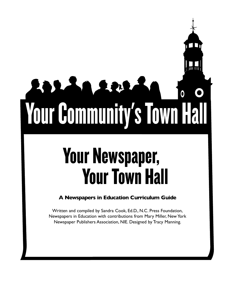# W **Your Community's Town Hall**

而 而

# Your Newspaper, **Your Town Hall**

## **A Newspapers in Education Curriculum Guide**

Written and compiled by Sandra Cook, Ed.D., N.C. Press Foundation, Newspapers in Education with contributions from Mary Miller, New York Newspaper Publishers Association, NIE. Designed by Tracy Manning.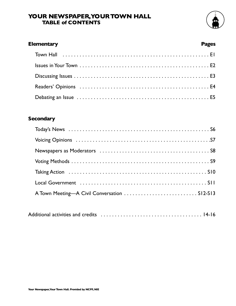#### **YOUR NEWSPAPER,YOUR TOWN HALL TABLE of CONTENTS**



# **Elementary Pages**

### **Secondary**

| Taking Action (all contains and all contains and all contains a set of the Taking Action (all contains a set o |  |
|----------------------------------------------------------------------------------------------------------------|--|
|                                                                                                                |  |
|                                                                                                                |  |

|--|--|--|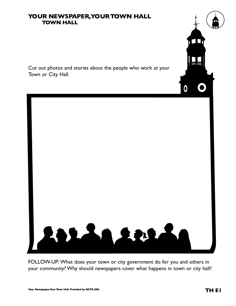#### **YOUR NEWSPAPER,YOUR TOWN HALL TOWN HALL**

Cut out photos and stories about the people who work at your Town or City Hall.



FOLLOW-UP: What does your town or city government do for you and others in your community? Why should newspapers cover what happens in town or city hall?

而而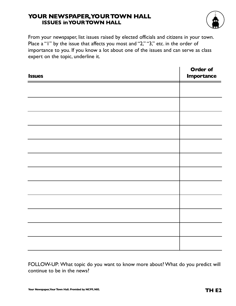#### **YOUR NEWSPAPER,YOUR TOWN HALL ISSUES inYOUR TOWN HALL**



From your newspaper, list issues raised by elected officials and citizens in your town. Place a "I" by the issue that affects you most and "2," "3," etc. in the order of importance to you. If you know a lot about one of the issues and can serve as class expert on the topic, underline it.

| <b>Issues</b> | Order of<br><b>Importance</b> |
|---------------|-------------------------------|
|               |                               |
|               |                               |
|               |                               |
|               |                               |
|               |                               |
|               |                               |
|               |                               |
|               |                               |
|               |                               |
|               |                               |
|               |                               |
|               |                               |

FOLLOW-UP: What topic do you want to know more about? What do you predict will continue to be in the news?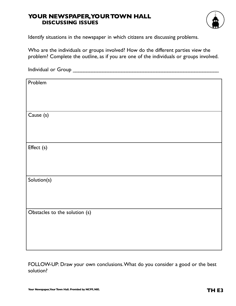#### **YOUR NEWSPAPER,YOUR TOWN HALL DISCUSSING ISSUES**



Identify situations in the newspaper in which citizens are discussing problems.

Who are the individuals or groups involved? How do the different parties view the problem? Complete the outline, as if you are one of the individuals or groups involved.

| Problem                       |
|-------------------------------|
|                               |
|                               |
|                               |
|                               |
| Cause (s)                     |
|                               |
|                               |
|                               |
|                               |
| Effect (s)                    |
|                               |
|                               |
|                               |
|                               |
| Solution(s)                   |
|                               |
|                               |
|                               |
|                               |
| Obstacles to the solution (s) |
|                               |
|                               |
|                               |
|                               |
|                               |

FOLLOW-UP: Draw your own conclusions.What do you consider a good or the best solution?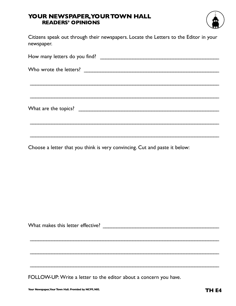#### **YOUR NEWSPAPER,YOUR TOWN HALL READERS' OPINIONS**



Citizens speak out through their newspapers. Locate the Letters to the Editor in your newspaper.

\_\_\_\_\_\_\_\_\_\_\_\_\_\_\_\_\_\_\_\_\_\_\_\_\_\_\_\_\_\_\_\_\_\_\_\_\_\_\_\_\_\_\_\_\_\_\_\_\_\_\_\_\_\_\_\_\_\_\_\_\_\_\_\_\_\_\_\_\_\_

Choose a letter that you think is very convincing. Cut and paste it below:

What makes this letter effective? \_\_\_\_\_\_\_\_\_\_\_\_\_\_\_\_\_\_\_\_\_\_\_\_\_\_\_\_\_\_\_\_\_\_\_\_\_\_\_\_\_\_\_

\_\_\_\_\_\_\_\_\_\_\_\_\_\_\_\_\_\_\_\_\_\_\_\_\_\_\_\_\_\_\_\_\_\_\_\_\_\_\_\_\_\_\_\_\_\_\_\_\_\_\_\_\_\_\_\_\_\_\_\_\_\_\_\_\_\_\_\_\_\_

 $\overline{\phantom{a}}$  , and the contribution of the contribution of the contribution of the contribution of the contribution of the contribution of the contribution of the contribution of the contribution of the contribution of the

\_\_\_\_\_\_\_\_\_\_\_\_\_\_\_\_\_\_\_\_\_\_\_\_\_\_\_\_\_\_\_\_\_\_\_\_\_\_\_\_\_\_\_\_\_\_\_\_\_\_\_\_\_\_\_\_\_\_\_\_\_\_\_\_\_\_\_\_\_\_

FOLLOW-UP: Write a letter to the editor about a concern you have.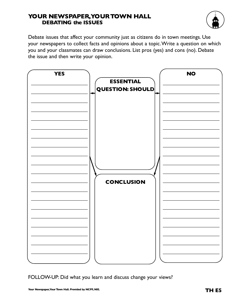#### **YOUR NEWSPAPER,YOUR TOWN HALL DEBATING the ISSUES**



Debate issues that affect your community just as citizens do in town meetings. Use your newspapers to collect facts and opinions about a topic.Write a question on which you and your classmates can draw conclusions. List pros (yes) and cons (no). Debate the issue and then write your opinion.



FOLLOW-UP: Did what you learn and discuss change your views?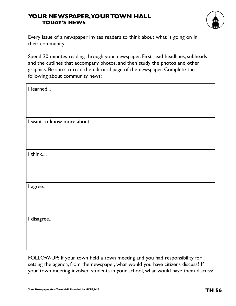#### **YOUR NEWSPAPER,YOUR TOWN HALL TODAY'S NEWS**



Every issue of a newspaper invites readers to think about what is going on in their community.

Spend 20 minutes reading through your newspaper. First read headlines, subheads and the cutlines that accompany photos, and then study the photos and other graphics. Be sure to read the editorial page of the newspaper. Complete the following about community news:

| I learned                 |
|---------------------------|
| I want to know more about |
| I think                   |
| I agree                   |
| I disagree                |

FOLLOW-UP: If your town held a town meeting and you had responsibility for setting the agenda, from the newspaper, what would you have citizens discuss? If your town meeting involved students in your school, what would have them discuss?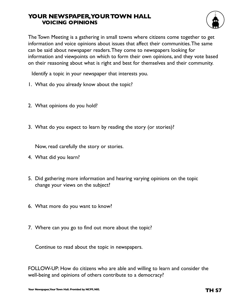#### **YOUR NEWSPAPER,YOUR TOWN HALL VOICING OPINIONS**



The Town Meeting is a gathering in small towns where citizens come together to get information and voice opinions about issues that affect their communities.The same can be said about newspaper readers.They come to newspapers looking for information and viewpoints on which to form their own opinions, and they vote based on their reasoning about what is right and best for themselves and their community.

Identify a topic in your newspaper that interests you.

- 1. What do you already know about the topic?
- 2. What opinions do you hold?
- 3. What do you expect to learn by reading the story (or stories)?

Now, read carefully the story or stories.

- 4. What did you learn?
- 5. Did gathering more information and hearing varying opinions on the topic change your views on the subject?
- 6. What more do you want to know?
- 7. Where can you go to find out more about the topic?

Continue to read about the topic in newspapers.

FOLLOW-UP: How do citizens who are able and willing to learn and consider the well-being and opinions of others contribute to a democracy?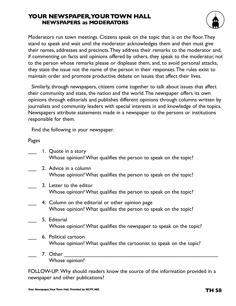#### **YOUR NEWSPAPER,YOUR TOWN HALL NEWSPAPERS as MODERATORS**



Moderators run town meetings. Citizens speak on the topic that is on the floor.They stand to speak and wait until the moderator acknowledges them and then must give their names, addresses and precincts.They address their remarks to the moderator and, if commenting on facts and opinions offered by others, they speak to the moderator, not to the person whose remarks please or displease them, and, to avoid personal attacks, they state the issue not the name of the person in their responses.The rules exist to maintain order and promote productive debate on issues that affect their lives.

Similarly, through newspapers, citizens come together to talk about issues that affect their community and state, the nation and the world.The newspaper offers its own opinions through editorials and publishes different opinions through columns written by journalists and community leaders with special interests in and knowledge of the topics. Newspapers attribute statements made in a newspaper to the persons or institutions responsible for them.

Find the following in your newspaper.

Pages

|  | 1. Quote in a story<br>Whose opinion? What qualifies the person to speak on the topic?                              |
|--|---------------------------------------------------------------------------------------------------------------------|
|  | 2. Advice in a column<br>Whose opinion? What qualifies the person to speak on the topic?                            |
|  | 3. Letter to the editor<br>Whose opinion? What qualifies the person to speak on the topic?                          |
|  | 4. Column on the editorial or other opinion page<br>Whose opinion? What qualifies the person to speak on the topic? |
|  | 5. Editorial<br>Whose opinion? What qualifies the newspaper to speak on the topic?                                  |
|  | 6. Political cartoon<br>Whose opinion? What qualifies the cartoonist to speak on the topic?                         |
|  | 7. Other<br>Whose opinion?                                                                                          |

FOLLOW-UP: Why should readers know the source of the information provided in a newspaper and other publications?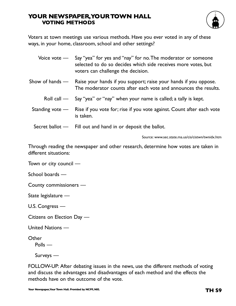#### **YOUR NEWSPAPER,YOUR TOWN HALL VOTING METHODS**



Voters at town meetings use various methods. Have you ever voted in any of these ways, in your home, classroom, school and other settings?

| Voice vote — Say "yea" for yes and "nay" for no. The moderator or someone |
|---------------------------------------------------------------------------|
| selected to do so decides which side receives more votes, but             |
| voters can challenge the decision.                                        |

- Show of hands Raise your hands if you support; raise your hands if you oppose. The moderator counts after each vote and announces the results.
	- Roll call Say "yea" or "nay" when your name is called; a tally is kept.
	- Standing vote Rise if you vote for; rise if you vote against. Count after each vote is taken.
	- Secret ballot Fill out and hand in or deposit the ballot.

Source: www.sec.state.ma.us/cis/cistwn/twnidx.htm

Through reading the newspaper and other research, determine how votes are taken in different situations:

Town or city council —

School boards —

County commissioners —

State legislature —

U.S. Congress —

Citizens on Election Day —

United Nations —

**Other** 

Polls —

Surveys —

FOLLOW-UP: After debating issues in the news, use the different methods of voting and discuss the advantages and disadvantages of each method and the effects the methods have on the outcome of the vote.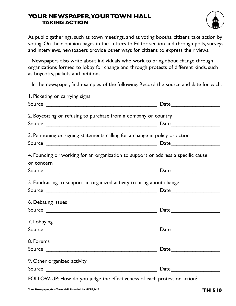#### **YOUR NEWSPAPER,YOUR TOWN HALL TAKING ACTION**



At public gatherings, such as town meetings, and at voting booths, citizens take action by voting. On their opinion pages in the Letters to Editor section and through polls, surveys and interviews, newspapers provide other ways for citizens to express their views.

Newspapers also write about individuals who work to bring about change through organizations formed to lobby for change and through protests of different kinds, such as boycotts, pickets and petitions.

In the newspaper, find examples of the following. Record the source and date for each.

| I. Picketing or carrying signs                                                                                                                                                                                                                                                       |                                                                                                                                                                                                                               |
|--------------------------------------------------------------------------------------------------------------------------------------------------------------------------------------------------------------------------------------------------------------------------------------|-------------------------------------------------------------------------------------------------------------------------------------------------------------------------------------------------------------------------------|
|                                                                                                                                                                                                                                                                                      | Date                                                                                                                                                                                                                          |
| 2. Boycotting or refusing to purchase from a company or country                                                                                                                                                                                                                      |                                                                                                                                                                                                                               |
|                                                                                                                                                                                                                                                                                      |                                                                                                                                                                                                                               |
| 3. Petitioning or signing statements calling for a change in policy or action                                                                                                                                                                                                        |                                                                                                                                                                                                                               |
|                                                                                                                                                                                                                                                                                      |                                                                                                                                                                                                                               |
| 4. Founding or working for an organization to support or address a specific cause<br>or concern                                                                                                                                                                                      |                                                                                                                                                                                                                               |
|                                                                                                                                                                                                                                                                                      | Date                                                                                                                                                                                                                          |
| 5. Fundraising to support an organized activity to bring about change                                                                                                                                                                                                                |                                                                                                                                                                                                                               |
|                                                                                                                                                                                                                                                                                      |                                                                                                                                                                                                                               |
| 6. Debating issues                                                                                                                                                                                                                                                                   |                                                                                                                                                                                                                               |
|                                                                                                                                                                                                                                                                                      | Date                                                                                                                                                                                                                          |
| 7. Lobbying                                                                                                                                                                                                                                                                          |                                                                                                                                                                                                                               |
|                                                                                                                                                                                                                                                                                      |                                                                                                                                                                                                                               |
| 8. Forums                                                                                                                                                                                                                                                                            |                                                                                                                                                                                                                               |
|                                                                                                                                                                                                                                                                                      |                                                                                                                                                                                                                               |
| 9. Other organized activity                                                                                                                                                                                                                                                          |                                                                                                                                                                                                                               |
|                                                                                                                                                                                                                                                                                      | Date and the set of the set of the set of the set of the set of the set of the set of the set of the set of the set of the set of the set of the set of the set of the set of the set of the set of the set of the set of the |
| $E[$ $\bigcap$   $\bigcap$ $\bigcup$ $\bigcup$ $\bigcup$ $\bigcup$ $\bigcup$ $\bigcup$ $\bigcup$ $\bigcap$ $\bigcup$ $\bigcap$ $\bigcap$ $\bigcap$ $\bigcap$ $\bigcap$ $\bigcap$ $\bigcap$ $\bigcap$ $\bigcap$ $\bigcap$ $\bigcap$ $\bigcap$ $\bigcap$ $\bigcap$ $\bigcap$ $\bigcap$ |                                                                                                                                                                                                                               |

FOLLOW-UP: How do you judge the effectiveness of each protest or action?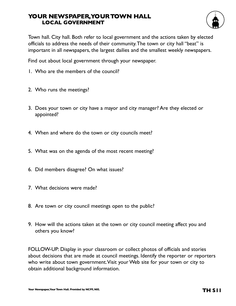#### **YOUR NEWSPAPER,YOUR TOWN HALL LOCAL GOVERNMENT**



Town hall. City hall. Both refer to local government and the actions taken by elected officials to address the needs of their community.The town or city hall "beat" is important in all newspapers, the largest dailies and the smallest weekly newspapers.

Find out about local government through your newspaper.

- 1. Who are the members of the council?
- 2. Who runs the meetings?
- 3. Does your town or city have a mayor and city manager? Are they elected or appointed?
- 4. When and where do the town or city councils meet?
- 5. What was on the agenda of the most recent meeting?
- 6. Did members disagree? On what issues?
- 7. What decisions were made?
- 8. Are town or city council meetings open to the public?
- 9. How will the actions taken at the town or city council meeting affect you and others you know?

FOLLOW-UP: Display in your classroom or collect photos of officials and stories about decisions that are made at council meetings. Identify the reporter or reporters who write about town government.Visit your Web site for your town or city to obtain additional background information.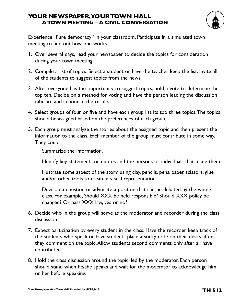#### **YOUR NEWSPAPER,YOUR TOWN HALL A TOWN MEETING—A CIVIL CONVERSATION**



Experience "Pure democracy" in your classroom. Participate in a simulated town meeting to find out how one works.

- 1. Over several days, read your newspaper to decide the topics for consideration during your town meeting.
- 2. Compile a list of topics. Select a student or have the teacher keep the list. Invite all of the students to suggest topics from the news.
- 3. After everyone has the opportunity to suggest topics, hold a vote to determine the top ten. Decide on a method for voting and have the person leading the discussion tabulate and announce the results.
- 4. Select groups of four or five and have each group list its top three topics.The topics should be assigned based on the preferences of each group.
- 5. Each group must analyze the stories about the assigned topic and then present the information to the class. Each member of the group must contribute in some way. They could:

Summarize the information.

Identify key statements or quotes and the persons or individuals that made them.

Illustrate some aspect of the story, using clay, pencils, pens, paper, scissors, glue and/or other tools to create a visual representation.

Develop a question or advocate a position that can be debated by the whole class. For example, Should XXX be held responsible? Should XXX policy be changed? Or pass XXX law, yes or no?

- 6. Decide who in the group will serve as the moderator and recorder during the class discussion.
- 7. Expect participation by every student in the class. Have the recorder keep track of the students who speak or have students place a sticky note on their desks after they comment on the topic.Allow students second comments only after all have contributed.
- 8. Hold the class discussion around the topic, led by the moderator. Each person should stand when he/she speaks and wait for the moderator to acknowledge him or her before speaking.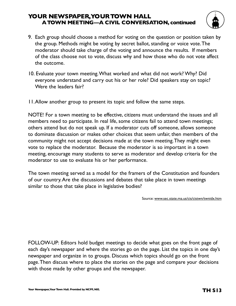#### **YOUR NEWSPAPER,YOUR TOWN HALL A TOWN MEETING—A CIVIL CONVERSATION, continued**



- 9. Each group should choose a method for voting on the question or position taken by the group. Methods might be voting by secret ballot, standing or voice vote.The moderator should take charge of the voting and announce the results. If members of the class choose not to vote, discuss why and how those who do not vote affect the outcome.
- 10. Evaluate your town meeting.What worked and what did not work? Why? Did everyone understand and carry out his or her role? Did speakers stay on topic? Were the leaders fair?
- 11.Allow another group to present its topic and follow the same steps.

NOTE! For a town meeting to be effective, citizens must understand the issues and all members need to participate. In real life, some citizens fail to attend town meetings; others attend but do not speak up. If a moderator cuts off someone, allows someone to dominate discussion or makes other choices that seem unfair, then members of the community might not accept decisions made at the town meeting.They might even vote to replace the moderator. Because the moderator is so important in a town meeting, encourage many students to serve as moderator and develop criteria for the moderator to use to evaluate his or her performance.

The town meeting served as a model for the framers of the Constitution and founders of our country.Are the discussions and debates that take place in town meetings similar to those that take place in legislative bodies?

Source: www.sec.state.ma.us/cis/cistwn/twnidx.htm

FOLLOW-UP: Editors hold budget meetings to decide what goes on the front page of each day's newspaper and where the stories go on the page. List the topics in one day's newspaper and organize in to groups. Discuss which topics should go on the front page.Then discuss where to place the stories on the page and compare your decisions with those made by other groups and the newspaper.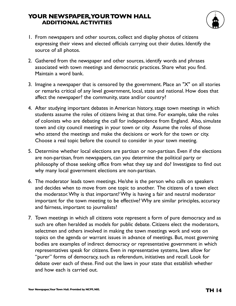#### **YOUR NEWSPAPER,YOUR TOWN HALL ADDITIONAL ACTIVITIES**



- 1. From newspapers and other sources, collect and display photos of citizens expressing their views and elected officials carrying out their duties. Identify the source of all photos.
- 2. Gathered from the newspaper and other sources, identify words and phrases associated with town meetings and democratic practices. Share what you find. Maintain a word bank.
- 3. Imagine a newspaper that is censored by the government. Place an "X" on all stories or remarks critical of any level government, local, state and national. How does that affect the newspaper? the community, state and/or country?
- 4. After studying important debates in American history, stage town meetings in which students assume the roles of citizens living at that time. For example, take the roles of colonists who are debating the call for independence from England. Also, simulate town and city council meetings in your town or city. Assume the roles of those who attend the meetings and make the decisions or work for the town or city. Choose a real topic before the council to consider in your town meeting.
- 5. Determine whether local elections are partisan or non-partisan. Even if the elections are non-partisan, from newspapers, can you determine the political party or philosophy of those seeking office from what they say and do? Investigate to find out why many local government elections are non-partisan.
- 6. The moderator leads town meetings. He/she is the person who calls on speakers and decides when to move from one topic to another. The citizens of a town elect the moderator.Why is that important? Why is having a fair and neutral moderator important for the town meeting to be effective? Why are similar principles, accuracy and fairness, important to journalists?
- 7. Town meetings in which all citizens vote represent a form of pure democracy and as such are often heralded as models for public debate. Citizens elect the moderators, selectmen and others involved in making the town meetings work and vote on topics on the agenda or warrant issues in advance of meetings. But, most governing bodies are examples of indirect democracy or representative government in which representatives speak for citizens. Even in representative systems, laws allow for "purer" forms of democracy, such as referendum, initiatives and recall. Look for debate over each of these. Find out the laws in your state that establish whether and how each is carried out.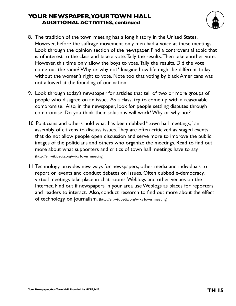#### **YOUR NEWSPAPER,YOUR TOWN HALL ADDITIONAL ACTIVITIES, continued**



- 8. The tradition of the town meeting has a long history in the United States. However, before the suffrage movement only men had a voice at these meetings. Look through the opinion section of the newspaper. Find a controversial topic that is of interest to the class and take a vote.Tally the results.Then take another vote. However, this time only allow the boys to vote.Tally the results. Did the vote come out the same? Why or why not? Imagine how life might be different today without the women's right to vote. Note too that voting by black Americans was not allowed at the founding of our nation.
- 9. Look through today's newspaper for articles that tell of two or more groups of people who disagree on an issue. As a class, try to come up with a reasonable compromise. Also, in the newspaper, look for people settling disputes through compromise. Do you think their solutions will work? Why or why not?
- 10. Politicians and others hold what has been dubbed "town hall meetings," an assembly of citizens to discuss issues.They are often criticized as staged events that do not allow people open discussion and serve more to improve the public images of the politicians and others who organize the meetings. Read to find out more about what supporters and critics of town hall meetings have to say. (http://en.wikipedia.org/wiki/Town\_meeting)
- 11.Technology provides new ways for newspapers, other media and individuals to report on events and conduct debates on issues. Often dubbed e-democracy, virtual meetings take place in chat rooms,Weblogs and other venues on the Internet. Find out if newspapers in your area use Weblogs as places for reporters and readers to interact. Also, conduct research to find out more about the effect of technology on journalism. (http://en.wikipedia.org/wiki/Town\_meeting)